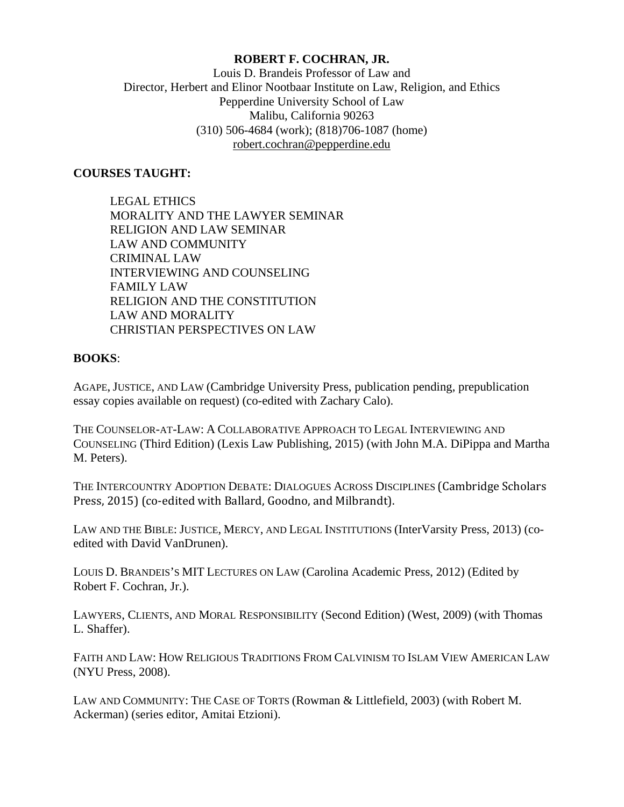### **ROBERT F. COCHRAN, JR.**

Louis D. Brandeis Professor of Law and Director, Herbert and Elinor Nootbaar Institute on Law, Religion, and Ethics Pepperdine University School of Law Malibu, California 90263 (310) 506-4684 (work); (818)706-1087 (home) [robert.cochran@pepperdine.edu](mailto:robert.cochran@pepperdine.edu)

#### **COURSES TAUGHT:**

**CRIMINAL LAW FAMILY LAW** LEGAL ETHICS MORALITY AND THE LAWYER SEMINAR RELIGION AND LAW SEMINAR LAW AND COMMUNITY INTERVIEWING AND COUNSELING RELIGION AND THE CONSTITUTION LAW AND MORALITY CHRISTIAN PERSPECTIVES ON LAW

#### **BOOKS**:

AGAPE, JUSTICE, AND LAW (Cambridge University Press, publication pending, prepublication essay copies available on request) (co-edited with Zachary Calo).

 THE COUNSELOR-AT-LAW: A COLLABORATIVE APPROACH TO LEGAL INTERVIEWING AND COUNSELING (Third Edition) (Lexis Law Publishing, 2015) (with John M.A. DiPippa and Martha M. Peters).

THE INTERCOUNTRY ADOPTION DEBATE: DIALOGUES ACROSS DISCIPLINES (Cambridge Scholars Press, 2015) (co-edited with Ballard, Goodno, and Milbrandt).

 LAW AND THE BIBLE: JUSTICE, MERCY, AND LEGAL INSTITUTIONS (InterVarsity Press, 2013) (coedited with David VanDrunen).

LOUIS D. BRANDEIS'S MIT LECTURES ON LAW (Carolina Academic Press, 2012) (Edited by Robert F. Cochran, Jr.).

LAWYERS, CLIENTS, AND MORAL RESPONSIBILITY (Second Edition) (West, 2009) (with Thomas L. Shaffer).

FAITH AND LAW: HOW RELIGIOUS TRADITIONS FROM CALVINISM TO ISLAM VIEW AMERICAN LAW (NYU Press, 2008).

LAW AND COMMUNITY: THE CASE OF TORTS (Rowman & Littlefield, 2003) (with Robert M. Ackerman) (series editor, Amitai Etzioni).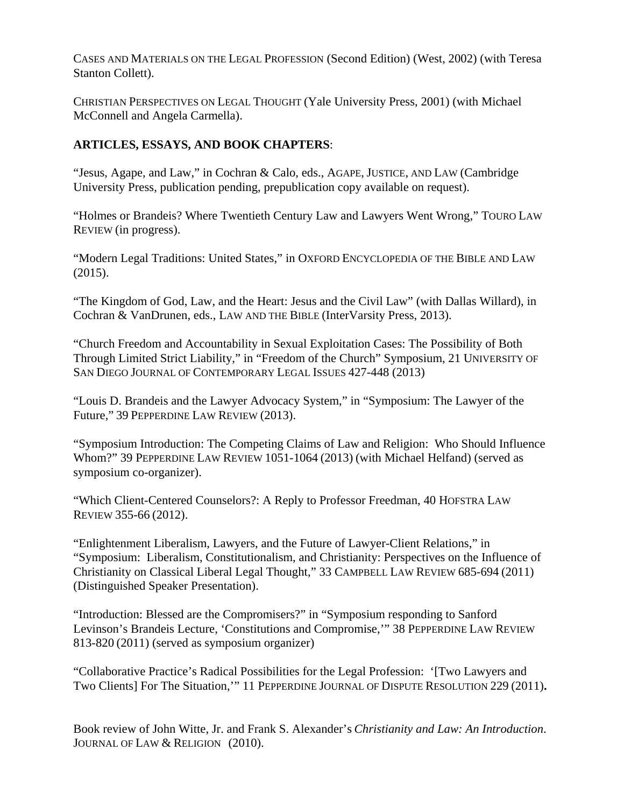CASES AND MATERIALS ON THE LEGAL PROFESSION (Second Edition) (West, 2002) (with Teresa Stanton Collett).

CHRISTIAN PERSPECTIVES ON LEGAL THOUGHT (Yale University Press, 2001) (with Michael McConnell and Angela Carmella).

# **ARTICLES, ESSAYS, AND BOOK CHAPTERS**:

"Jesus, Agape, and Law," in Cochran & Calo, eds., AGAPE, JUSTICE, AND LAW (Cambridge University Press, publication pending, prepublication copy available on request).

"Holmes or Brandeis? Where Twentieth Century Law and Lawyers Went Wrong," TOURO LAW REVIEW (in progress).

"Modern Legal Traditions: United States," in OXFORD ENCYCLOPEDIA OF THE BIBLE AND LAW (2015).

"The Kingdom of God, Law, and the Heart: Jesus and the Civil Law" (with Dallas Willard), in Cochran & VanDrunen, eds., LAW AND THE BIBLE (InterVarsity Press, 2013).

"Church Freedom and Accountability in Sexual Exploitation Cases: The Possibility of Both Through Limited Strict Liability," in "Freedom of the Church" Symposium, 21 UNIVERSITY OF SAN DIEGO JOURNAL OF CONTEMPORARY LEGAL ISSUES 427-448 (2013)

 Future," 39 PEPPERDINE LAW REVIEW (2013). "Louis D. Brandeis and the Lawyer Advocacy System," in "Symposium: The Lawyer of the

 Whom?" 39 PEPPERDINE LAW REVIEW 1051-1064 (2013) (with Michael Helfand) (served as "Symposium Introduction: The Competing Claims of Law and Religion: Who Should Influence symposium co-organizer).

"Which Client-Centered Counselors?: A Reply to Professor Freedman, 40 HOFSTRA LAW REVIEW 355-66 (2012).

 Christianity on Classical Liberal Legal Thought," 33 CAMPBELL LAW REVIEW 685-694 (2011) "Enlightenment Liberalism, Lawyers, and the Future of Lawyer-Client Relations," in "Symposium: Liberalism, Constitutionalism, and Christianity: Perspectives on the Influence of (Distinguished Speaker Presentation).

"Introduction: Blessed are the Compromisers?" in "Symposium responding to Sanford Levinson's Brandeis Lecture, 'Constitutions and Compromise,'" 38 PEPPERDINE LAW REVIEW 813-820 (2011) (served as symposium organizer)

"Collaborative Practice's Radical Possibilities for the Legal Profession: '[Two Lawyers and Two Clients] For The Situation,'" 11 PEPPERDINE JOURNAL OF DISPUTE RESOLUTION 229 (2011)**.** 

Book review of John Witte, Jr. and Frank S. Alexander's *Christianity and Law: An Introduction*. JOURNAL OF LAW & RELIGION (2010).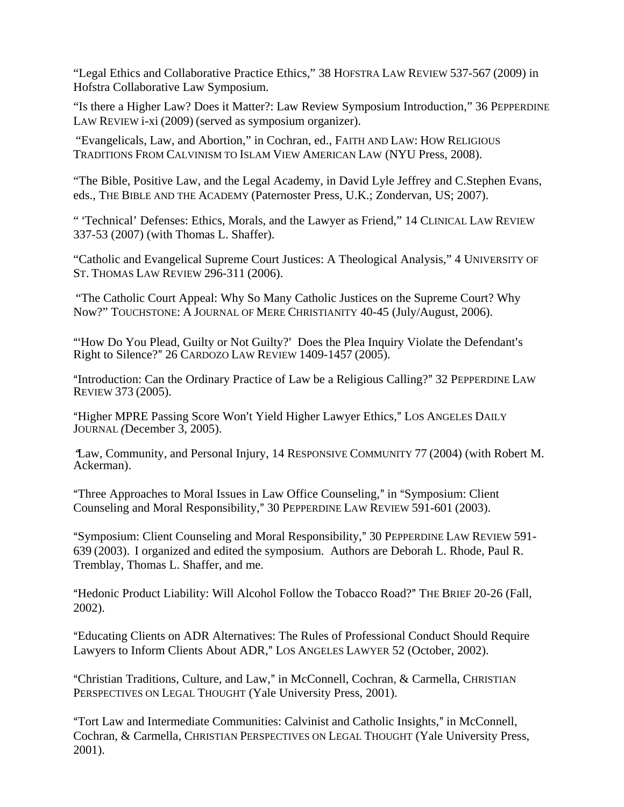"Legal Ethics and Collaborative Practice Ethics," 38 HOFSTRA LAW REVIEW 537-567 (2009) in Hofstra Collaborative Law Symposium.

 LAW REVIEW i-xi (2009) (served as symposium organizer). "Is there a Higher Law? Does it Matter?: Law Review Symposium Introduction," 36 PEPPERDINE

"Evangelicals, Law, and Abortion," in Cochran, ed., FAITH AND LAW: HOW RELIGIOUS TRADITIONS FROM CALVINISM TO ISLAM VIEW AMERICAN LAW (NYU Press, 2008).

"The Bible, Positive Law, and the Legal Academy, in David Lyle Jeffrey and C.Stephen Evans, eds., THE BIBLE AND THE ACADEMY (Paternoster Press, U.K.; Zondervan, US; 2007).

" 'Technical' Defenses: Ethics, Morals, and the Lawyer as Friend," 14 CLINICAL LAW REVIEW 337-53 (2007) (with Thomas L. Shaffer).

"Catholic and Evangelical Supreme Court Justices: A Theological Analysis," 4 UNIVERSITY OF ST. THOMAS LAW REVIEW 296-311 (2006).

 Now?" TOUCHSTONE: A JOURNAL OF MERE CHRISTIANITY 40-45 (July/August, 2006). "The Catholic Court Appeal: Why So Many Catholic Justices on the Supreme Court? Why

"How Do You Plead, Guilty or Not Guilty?' Does the Plea Inquiry Violate the Defendant's Right to Silence?" 26 CARDOZO LAW REVIEW 1409-1457 (2005).

"Introduction: Can the Ordinary Practice of Law be a Religious Calling?" 32 PEPPERDINE LAW REVIEW 373 (2005).

"Higher MPRE Passing Score Won't Yield Higher Lawyer Ethics," LOS ANGELES DAILY JOURNAL *(*December 3, 2005).

<sup>A</sup>Law, Community, and Personal Injury, 14 RESPONSIVE COMMUNITY 77 (2004) (with Robert M. Ackerman).

Counseling and Moral Responsibility," 30 PEPPERDINE LAW REVIEW 591-601 (2003). "Three Approaches to Moral Issues in Law Office Counseling," in "Symposium: Client"

 639 (2003). I organized and edited the symposium. Authors are Deborah L. Rhode, Paul R. "Symposium: Client Counseling and Moral Responsibility," 30 PEPPERDINE LAW REVIEW 591-Tremblay, Thomas L. Shaffer, and me.

"Hedonic Product Liability: Will Alcohol Follow the Tobacco Road?" THE BRIEF 20-26 (Fall, 2002).

AEducating Clients on ADR Alternatives: The Rules of Professional Conduct Should Require Lawyers to Inform Clients About ADR," LOS ANGELES LAWYER 52 (October, 2002).

"Christian Traditions, Culture, and Law," in McConnell, Cochran, & Carmella, CHRISTIAN PERSPECTIVES ON LEGAL THOUGHT (Yale University Press, 2001).

"Tort Law and Intermediate Communities: Calvinist and Catholic Insights," in McConnell, Cochran, & Carmella, CHRISTIAN PERSPECTIVES ON LEGAL THOUGHT (Yale University Press, 2001).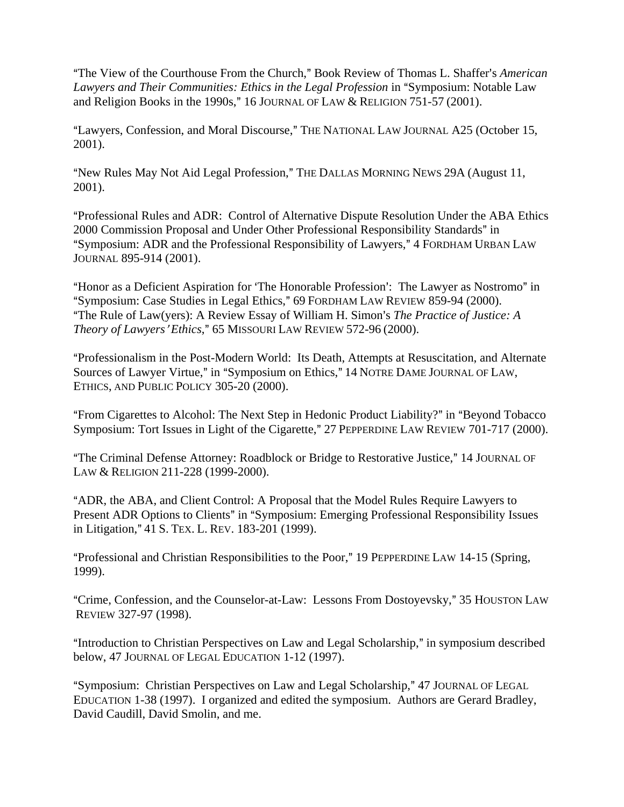"The View of the Courthouse From the Church," Book Review of Thomas L. Shaffer's *American Lawyers and Their Communities: Ethics in the Legal Profession* in "Symposium: Notable Law and Religion Books in the 1990s," 16 JOURNAL OF LAW  $&$  RELIGION 751-57 (2001).

"Lawyers, Confession, and Moral Discourse," THE NATIONAL LAW JOURNAL A25 (October 15, 2001).

"New Rules May Not Aid Legal Profession," THE DALLAS MORNING NEWS 29A (August 11, 2001).

AProfessional Rules and ADR: Control of Alternative Dispute Resolution Under the ABA Ethics 2000 Commission Proposal and Under Other Professional Responsibility Standards" in "Symposium: ADR and the Professional Responsibility of Lawyers," 4 FORDHAM URBAN LAW JOURNAL 895-914 (2001).

"Honor as a Deficient Aspiration for 'The Honorable Profession': The Lawyer as Nostromo" in "Symposium: Case Studies in Legal Ethics," 69 FORDHAM LAW REVIEW 859-94 (2000). <sup>"</sup>The Rule of Law(yers): A Review Essay of William H. Simon's *The Practice of Justice: A Theory of Lawyers' Ethics*," 65 MISSOURI LAW REVIEW 572-96 (2000).

Sources of Lawyer Virtue," in "Symposium on Ethics," 14 NOTRE DAME JOURNAL OF LAW, AProfessionalism in the Post-Modern World: Its Death, Attempts at Resuscitation, and Alternate ETHICS, AND PUBLIC POLICY 305-20 (2000).

"From Cigarettes to Alcohol: The Next Step in Hedonic Product Liability?" in "Beyond Tobacco Symposium: Tort Issues in Light of the Cigarette," 27 PEPPERDINE LAW REVIEW 701-717 (2000).

"The Criminal Defense Attorney: Roadblock or Bridge to Restorative Justice," 14 JOURNAL OF LAW & RELIGION 211-228 (1999-2000).

in Litigation," 41 S. TEX. L. REV. 183-201 (1999). AADR, the ABA, and Client Control: A Proposal that the Model Rules Require Lawyers to Present ADR Options to Clients" in "Symposium: Emerging Professional Responsibility Issues

"Professional and Christian Responsibilities to the Poor," 19 PEPPERDINE LAW 14-15 (Spring, 1999).

"Crime, Confession, and the Counselor-at-Law: Lessons From Dostoyevsky," 35 HOUSTON LAW REVIEW 327-97 (1998).

"Introduction to Christian Perspectives on Law and Legal Scholarship," in symposium described below, 47 JOURNAL OF LEGAL EDUCATION 1-12 (1997).

"Symposium: Christian Perspectives on Law and Legal Scholarship," 47 JOURNAL OF LEGAL EDUCATION 1-38 (1997). I organized and edited the symposium. Authors are Gerard Bradley, David Caudill, David Smolin, and me.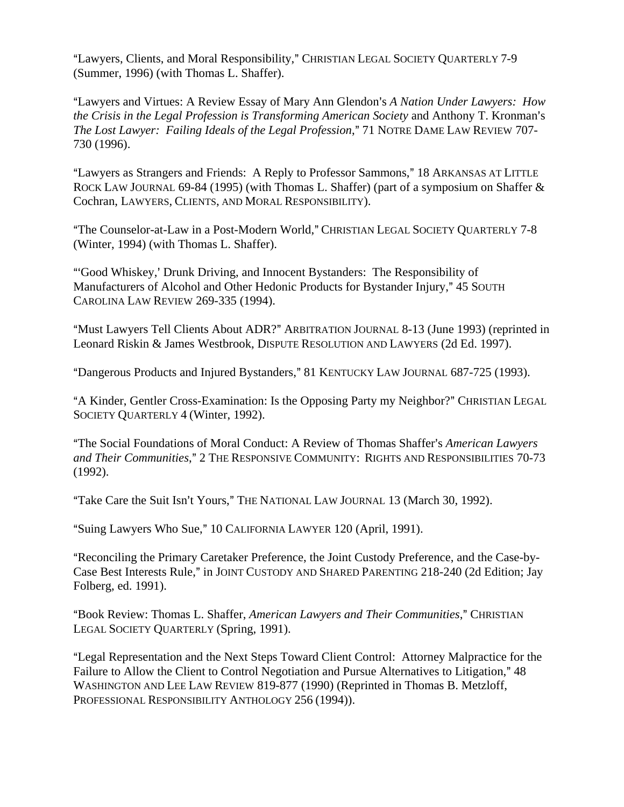"Lawyers, Clients, and Moral Responsibility," CHRISTIAN LEGAL SOCIETY QUARTERLY 7-9 (Summer, 1996) (with Thomas L. Shaffer).

"Lawyers and Virtues: A Review Essay of Mary Ann Glendon's *A Nation Under Lawyers: How the Crisis in the Legal Profession is Transforming American Society* and Anthony T. Kronman's *The Lost Lawyer: Failing Ideals of the Legal Profession*," 71 NOTRE DAME LAW REVIEW 707-730 (1996).

"Lawyers as Strangers and Friends: A Reply to Professor Sammons," 18 ARKANSAS AT LITTLE ROCK LAW JOURNAL 69-84 (1995) (with Thomas L. Shaffer) (part of a symposium on Shaffer & Cochran, LAWYERS, CLIENTS, AND MORAL RESPONSIBILITY).

"The Counselor-at-Law in a Post-Modern World," CHRISTIAN LEGAL SOCIETY QUARTERLY 7-8 (Winter, 1994) (with Thomas L. Shaffer).

"Good Whiskey,' Drunk Driving, and Innocent Bystanders: The Responsibility of Manufacturers of Alcohol and Other Hedonic Products for Bystander Injury," 45 SOUTH CAROLINA LAW REVIEW 269-335 (1994).

"Must Lawyers Tell Clients About ADR?" ARBITRATION JOURNAL 8-13 (June 1993) (reprinted in Leonard Riskin & James Westbrook, DISPUTE RESOLUTION AND LAWYERS (2d Ed. 1997).

"Dangerous Products and Injured Bystanders," 81 KENTUCKY LAW JOURNAL 687-725 (1993).

"A Kinder, Gentler Cross-Examination: Is the Opposing Party my Neighbor?" CHRISTIAN LEGAL SOCIETY QUARTERLY 4 (Winter, 1992).

and Their Communities," 2 THE RESPONSIVE COMMUNITY: RIGHTS AND RESPONSIBILITIES 70-73 "The Social Foundations of Moral Conduct: A Review of Thomas Shaffer's *American Lawyers* (1992).

"Take Care the Suit Isn't Yours," THE NATIONAL LAW JOURNAL 13 (March 30, 1992).

"Suing Lawyers Who Sue," 10 CALIFORNIA LAWYER 120 (April, 1991).

AReconciling the Primary Caretaker Preference, the Joint Custody Preference, and the Case-by-Case Best Interests Rule," in JOINT CUSTODY AND SHARED PARENTING 218-240 (2d Edition; Jay Folberg, ed. 1991).

"Book Review: Thomas L. Shaffer, *American Lawyers and Their Communities*," CHRISTIAN LEGAL SOCIETY QUARTERLY (Spring, 1991).

"Legal Representation and the Next Steps Toward Client Control: Attorney Malpractice for the Failure to Allow the Client to Control Negotiation and Pursue Alternatives to Litigation," 48 WASHINGTON AND LEE LAW REVIEW 819-877 (1990) (Reprinted in Thomas B. Metzloff, PROFESSIONAL RESPONSIBILITY ANTHOLOGY 256 (1994)).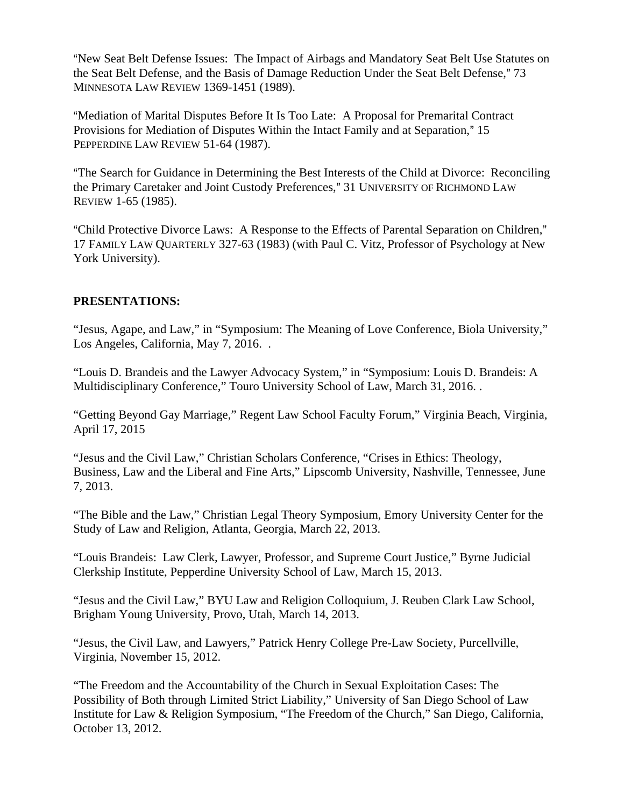"New Seat Belt Defense Issues: The Impact of Airbags and Mandatory Seat Belt Use Statutes on the Seat Belt Defense, and the Basis of Damage Reduction Under the Seat Belt Defense," 73 MINNESOTA LAW REVIEW 1369-1451 (1989).

"Mediation of Marital Disputes Before It Is Too Late: A Proposal for Premarital Contract Provisions for Mediation of Disputes Within the Intact Family and at Separation," 15 PEPPERDINE LAW REVIEW 51-64 (1987).

"The Search for Guidance in Determining the Best Interests of the Child at Divorce: Reconciling the Primary Caretaker and Joint Custody Preferences," 31 UNIVERSITY OF RICHMOND LAW REVIEW 1-65 (1985).

"Child Protective Divorce Laws: A Response to the Effects of Parental Separation on Children," 17 FAMILY LAW QUARTERLY 327-63 (1983) (with Paul C. Vitz, Professor of Psychology at New York University).

## **PRESENTATIONS:**

"Jesus, Agape, and Law," in "Symposium: The Meaning of Love Conference, Biola University," Los Angeles, California, May 7, 2016. .

"Louis D. Brandeis and the Lawyer Advocacy System," in "Symposium: Louis D. Brandeis: A Multidisciplinary Conference," Touro University School of Law, March 31, 2016. .

"Getting Beyond Gay Marriage," Regent Law School Faculty Forum," Virginia Beach, Virginia, April 17, 2015

"Jesus and the Civil Law," Christian Scholars Conference, "Crises in Ethics: Theology, Business, Law and the Liberal and Fine Arts," Lipscomb University, Nashville, Tennessee, June 7, 2013.

"The Bible and the Law," Christian Legal Theory Symposium, Emory University Center for the Study of Law and Religion, Atlanta, Georgia, March 22, 2013.

"Louis Brandeis: Law Clerk, Lawyer, Professor, and Supreme Court Justice," Byrne Judicial Clerkship Institute, Pepperdine University School of Law, March 15, 2013.

"Jesus and the Civil Law," BYU Law and Religion Colloquium, J. Reuben Clark Law School, Brigham Young University, Provo, Utah, March 14, 2013.

"Jesus, the Civil Law, and Lawyers," Patrick Henry College Pre-Law Society, Purcellville, Virginia, November 15, 2012.

"The Freedom and the Accountability of the Church in Sexual Exploitation Cases: The Possibility of Both through Limited Strict Liability," University of San Diego School of Law Institute for Law & Religion Symposium, "The Freedom of the Church," San Diego, California, October 13, 2012.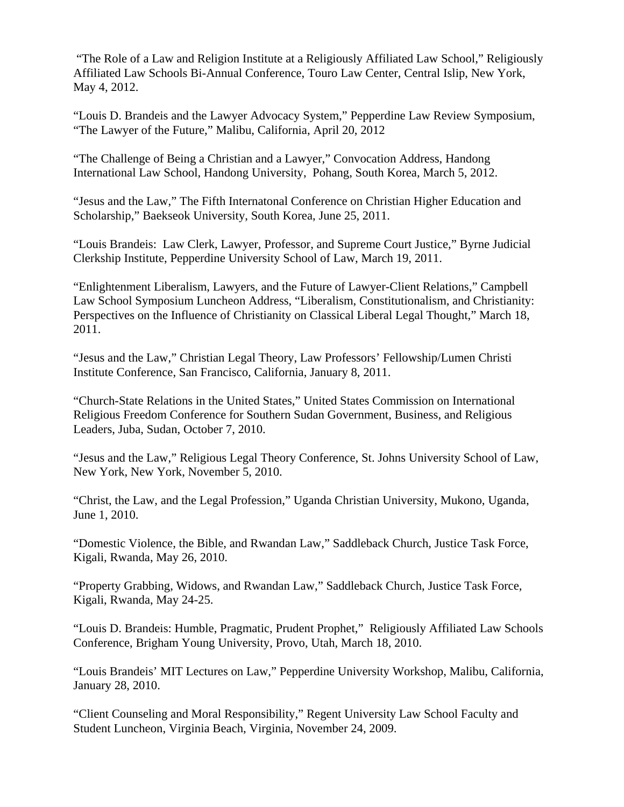"The Role of a Law and Religion Institute at a Religiously Affiliated Law School," Religiously Affiliated Law Schools Bi-Annual Conference, Touro Law Center, Central Islip, New York, May 4, 2012.

"Louis D. Brandeis and the Lawyer Advocacy System," Pepperdine Law Review Symposium, "The Lawyer of the Future," Malibu, California, April 20, 2012

"The Challenge of Being a Christian and a Lawyer," Convocation Address, Handong International Law School, Handong University, Pohang, South Korea, March 5, 2012.

"Jesus and the Law," The Fifth Internatonal Conference on Christian Higher Education and Scholarship," Baekseok University, South Korea, June 25, 2011.

"Louis Brandeis: Law Clerk, Lawyer, Professor, and Supreme Court Justice," Byrne Judicial Clerkship Institute, Pepperdine University School of Law, March 19, 2011.

"Enlightenment Liberalism, Lawyers, and the Future of Lawyer-Client Relations," Campbell Law School Symposium Luncheon Address, "Liberalism, Constitutionalism, and Christianity: Perspectives on the Influence of Christianity on Classical Liberal Legal Thought," March 18, 2011.

"Jesus and the Law," Christian Legal Theory, Law Professors' Fellowship/Lumen Christi Institute Conference, San Francisco, California, January 8, 2011.

"Church-State Relations in the United States," United States Commission on International Religious Freedom Conference for Southern Sudan Government, Business, and Religious Leaders, Juba, Sudan, October 7, 2010.

"Jesus and the Law," Religious Legal Theory Conference, St. Johns University School of Law, New York, New York, November 5, 2010.

"Christ, the Law, and the Legal Profession," Uganda Christian University, Mukono, Uganda, June 1, 2010.

"Domestic Violence, the Bible, and Rwandan Law," Saddleback Church, Justice Task Force, Kigali, Rwanda, May 26, 2010.

"Property Grabbing, Widows, and Rwandan Law," Saddleback Church, Justice Task Force, Kigali, Rwanda, May 24-25.

"Louis D. Brandeis: Humble, Pragmatic, Prudent Prophet," Religiously Affiliated Law Schools Conference, Brigham Young University, Provo, Utah, March 18, 2010.

"Louis Brandeis' MIT Lectures on Law," Pepperdine University Workshop, Malibu, California, January 28, 2010.

"Client Counseling and Moral Responsibility," Regent University Law School Faculty and Student Luncheon, Virginia Beach, Virginia, November 24, 2009.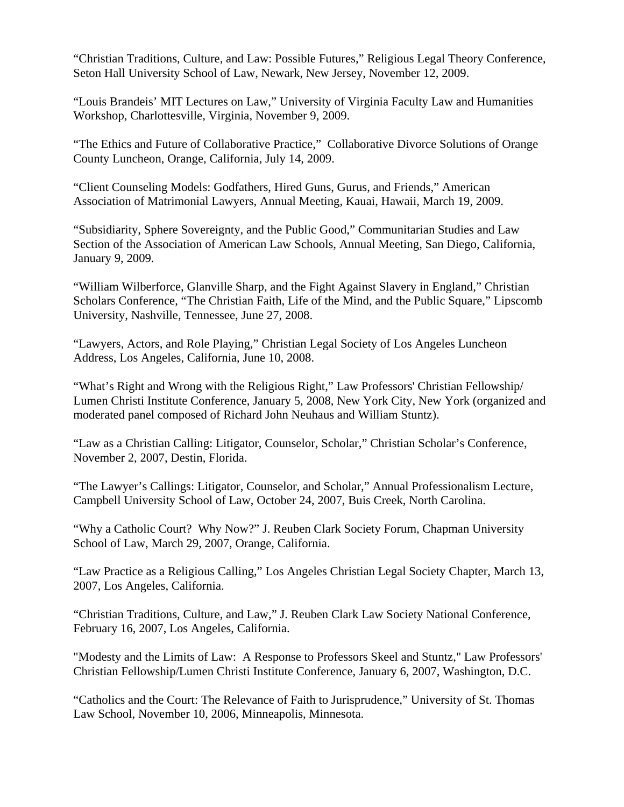"Christian Traditions, Culture, and Law: Possible Futures," Religious Legal Theory Conference, Seton Hall University School of Law, Newark, New Jersey, November 12, 2009.

"Louis Brandeis' MIT Lectures on Law," University of Virginia Faculty Law and Humanities Workshop, Charlottesville, Virginia, November 9, 2009.

"The Ethics and Future of Collaborative Practice," Collaborative Divorce Solutions of Orange County Luncheon, Orange, California, July 14, 2009.

"Client Counseling Models: Godfathers, Hired Guns, Gurus, and Friends," American Association of Matrimonial Lawyers, Annual Meeting, Kauai, Hawaii, March 19, 2009.

"Subsidiarity, Sphere Sovereignty, and the Public Good," Communitarian Studies and Law Section of the Association of American Law Schools, Annual Meeting, San Diego, California, January 9, 2009.

"William Wilberforce, Glanville Sharp, and the Fight Against Slavery in England," Christian Scholars Conference, "The Christian Faith, Life of the Mind, and the Public Square," Lipscomb University, Nashville, Tennessee, June 27, 2008.

"Lawyers, Actors, and Role Playing," Christian Legal Society of Los Angeles Luncheon Address, Los Angeles, California, June 10, 2008.

"What's Right and Wrong with the Religious Right," Law Professors' Christian Fellowship/ Lumen Christi Institute Conference, January 5, 2008, New York City, New York (organized and moderated panel composed of Richard John Neuhaus and William Stuntz).

"Law as a Christian Calling: Litigator, Counselor, Scholar," Christian Scholar's Conference, November 2, 2007, Destin, Florida.

"The Lawyer's Callings: Litigator, Counselor, and Scholar," Annual Professionalism Lecture, Campbell University School of Law, October 24, 2007, Buis Creek, North Carolina.

"Why a Catholic Court? Why Now?" J. Reuben Clark Society Forum, Chapman University School of Law, March 29, 2007, Orange, California.

"Law Practice as a Religious Calling," Los Angeles Christian Legal Society Chapter, March 13, 2007, Los Angeles, California.

"Christian Traditions, Culture, and Law," J. Reuben Clark Law Society National Conference, February 16, 2007, Los Angeles, California.

"Modesty and the Limits of Law: A Response to Professors Skeel and Stuntz," Law Professors' Christian Fellowship/Lumen Christi Institute Conference, January 6, 2007, Washington, D.C.

"Catholics and the Court: The Relevance of Faith to Jurisprudence," University of St. Thomas Law School, November 10, 2006, Minneapolis, Minnesota.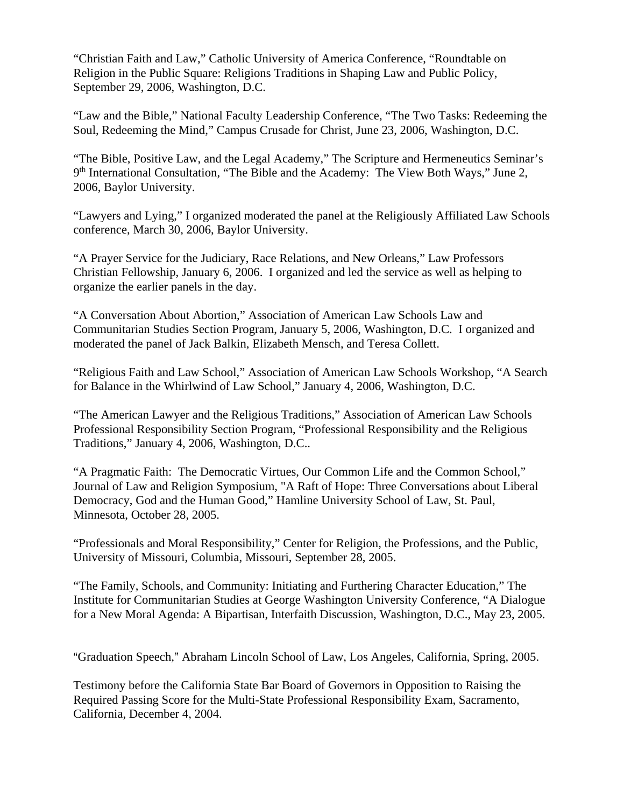"Christian Faith and Law," Catholic University of America Conference, "Roundtable on Religion in the Public Square: Religions Traditions in Shaping Law and Public Policy, September 29, 2006, Washington, D.C.

"Law and the Bible," National Faculty Leadership Conference, "The Two Tasks: Redeeming the Soul, Redeeming the Mind," Campus Crusade for Christ, June 23, 2006, Washington, D.C.

"The Bible, Positive Law, and the Legal Academy," The Scripture and Hermeneutics Seminar's 9<sup>th</sup> International Consultation, "The Bible and the Academy: The View Both Ways," June 2, 2006, Baylor University.

"Lawyers and Lying," I organized moderated the panel at the Religiously Affiliated Law Schools conference, March 30, 2006, Baylor University.

"A Prayer Service for the Judiciary, Race Relations, and New Orleans," Law Professors Christian Fellowship, January 6, 2006. I organized and led the service as well as helping to organize the earlier panels in the day.

"A Conversation About Abortion," Association of American Law Schools Law and Communitarian Studies Section Program, January 5, 2006, Washington, D.C. I organized and moderated the panel of Jack Balkin, Elizabeth Mensch, and Teresa Collett.

"Religious Faith and Law School," Association of American Law Schools Workshop, "A Search for Balance in the Whirlwind of Law School," January 4, 2006, Washington, D.C.

"The American Lawyer and the Religious Traditions," Association of American Law Schools Professional Responsibility Section Program, "Professional Responsibility and the Religious Traditions," January 4, 2006, Washington, D.C..

"A Pragmatic Faith: The Democratic Virtues, Our Common Life and the Common School," Journal of Law and Religion Symposium, "A Raft of Hope: Three Conversations about Liberal Democracy, God and the Human Good," Hamline University School of Law, St. Paul, Minnesota, October 28, 2005.

"Professionals and Moral Responsibility," Center for Religion, the Professions, and the Public, University of Missouri, Columbia, Missouri, September 28, 2005.

"The Family, Schools, and Community: Initiating and Furthering Character Education," The Institute for Communitarian Studies at George Washington University Conference, "A Dialogue for a New Moral Agenda: A Bipartisan, Interfaith Discussion, Washington, D.C., May 23, 2005.

"Graduation Speech," Abraham Lincoln School of Law, Los Angeles, California, Spring, 2005.

Testimony before the California State Bar Board of Governors in Opposition to Raising the Required Passing Score for the Multi-State Professional Responsibility Exam, Sacramento, California, December 4, 2004.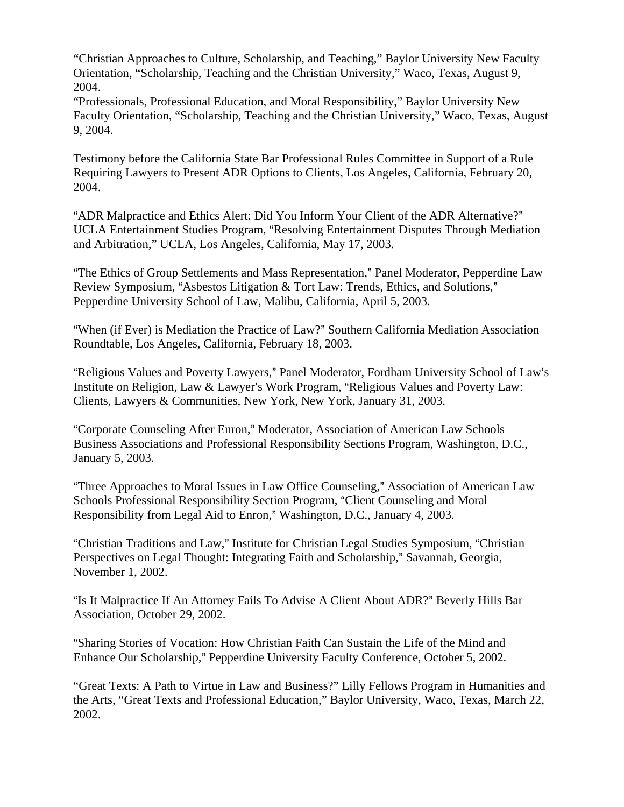"Christian Approaches to Culture, Scholarship, and Teaching," Baylor University New Faculty Orientation, "Scholarship, Teaching and the Christian University," Waco, Texas, August 9, 2004.

"Professionals, Professional Education, and Moral Responsibility," Baylor University New Faculty Orientation, "Scholarship, Teaching and the Christian University," Waco, Texas, August 9, 2004.

Testimony before the California State Bar Professional Rules Committee in Support of a Rule Requiring Lawyers to Present ADR Options to Clients, Los Angeles, California, February 20, 2004.

"ADR Malpractice and Ethics Alert: Did You Inform Your Client of the ADR Alternative?" UCLA Entertainment Studies Program, "Resolving Entertainment Disputes Through Mediation and Arbitration," UCLA, Los Angeles, California, May 17, 2003.

"The Ethics of Group Settlements and Mass Representation," Panel Moderator, Pepperdine Law Review Symposium, "Asbestos Litigation & Tort Law: Trends, Ethics, and Solutions," Pepperdine University School of Law, Malibu, California, April 5, 2003.

"When (if Ever) is Mediation the Practice of Law?" Southern California Mediation Association Roundtable, Los Angeles, California, February 18, 2003.

"Religious Values and Poverty Lawyers," Panel Moderator, Fordham University School of Law's Institute on Religion, Law & Lawyer's Work Program, "Religious Values and Poverty Law: Clients, Lawyers & Communities, New York, New York, January 31, 2003.

"Corporate Counseling After Enron," Moderator, Association of American Law Schools Business Associations and Professional Responsibility Sections Program, Washington, D.C., January 5, 2003.

"Three Approaches to Moral Issues in Law Office Counseling," Association of American Law Schools Professional Responsibility Section Program, "Client Counseling and Moral Responsibility from Legal Aid to Enron," Washington, D.C., January 4, 2003.

"Christian Traditions and Law," Institute for Christian Legal Studies Symposium, "Christian Perspectives on Legal Thought: Integrating Faith and Scholarship," Savannah, Georgia, November 1, 2002.

"Is It Malpractice If An Attorney Fails To Advise A Client About ADR?" Beverly Hills Bar Association, October 29, 2002.

"Sharing Stories of Vocation: How Christian Faith Can Sustain the Life of the Mind and Enhance Our Scholarship," Pepperdine University Faculty Conference, October 5, 2002.

"Great Texts: A Path to Virtue in Law and Business?" Lilly Fellows Program in Humanities and the Arts, "Great Texts and Professional Education," Baylor University, Waco, Texas, March 22, 2002.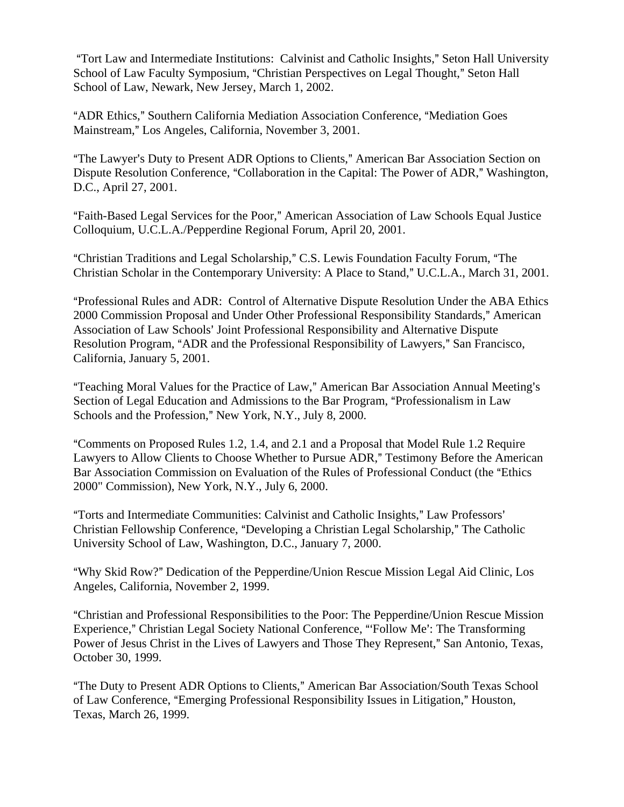"Tort Law and Intermediate Institutions: Calvinist and Catholic Insights," Seton Hall University School of Law Faculty Symposium, "Christian Perspectives on Legal Thought," Seton Hall School of Law, Newark, New Jersey, March 1, 2002.

"ADR Ethics," Southern California Mediation Association Conference, "Mediation Goes Mainstream," Los Angeles, California, November 3, 2001.

"The Lawyer's Duty to Present ADR Options to Clients," American Bar Association Section on Dispute Resolution Conference, "Collaboration in the Capital: The Power of ADR," Washington, D.C., April 27, 2001.

"Faith-Based Legal Services for the Poor," American Association of Law Schools Equal Justice Colloquium, U.C.L.A./Pepperdine Regional Forum, April 20, 2001.

"Christian Traditions and Legal Scholarship," C.S. Lewis Foundation Faculty Forum, "The Christian Scholar in the Contemporary University: A Place to Stand," U.C.L.A., March 31, 2001.

AProfessional Rules and ADR: Control of Alternative Dispute Resolution Under the ABA Ethics 2000 Commission Proposal and Under Other Professional Responsibility Standards," American Association of Law Schools' Joint Professional Responsibility and Alternative Dispute Resolution Program, "ADR and the Professional Responsibility of Lawyers," San Francisco, California, January 5, 2001.

"Teaching Moral Values for the Practice of Law," American Bar Association Annual Meeting's Section of Legal Education and Admissions to the Bar Program, "Professionalism in Law Schools and the Profession," New York, N.Y., July 8, 2000.

AComments on Proposed Rules 1.2, 1.4, and 2.1 and a Proposal that Model Rule 1.2 Require Lawyers to Allow Clients to Choose Whether to Pursue ADR," Testimony Before the American Bar Association Commission on Evaluation of the Rules of Professional Conduct (the "Ethics" 2000" Commission), New York, N.Y., July 6, 2000.

"Torts and Intermediate Communities: Calvinist and Catholic Insights," Law Professors' Christian Fellowship Conference, "Developing a Christian Legal Scholarship," The Catholic University School of Law, Washington, D.C., January 7, 2000.

"Why Skid Row?" Dedication of the Pepperdine/Union Rescue Mission Legal Aid Clinic, Los Angeles, California, November 2, 1999.

"Christian and Professional Responsibilities to the Poor: The Pepperdine/Union Rescue Mission Experience," Christian Legal Society National Conference, "'Follow Me': The Transforming Power of Jesus Christ in the Lives of Lawyers and Those They Represent," San Antonio, Texas, October 30, 1999.

"The Duty to Present ADR Options to Clients," American Bar Association/South Texas School of Law Conference, "Emerging Professional Responsibility Issues in Litigation," Houston, Texas, March 26, 1999.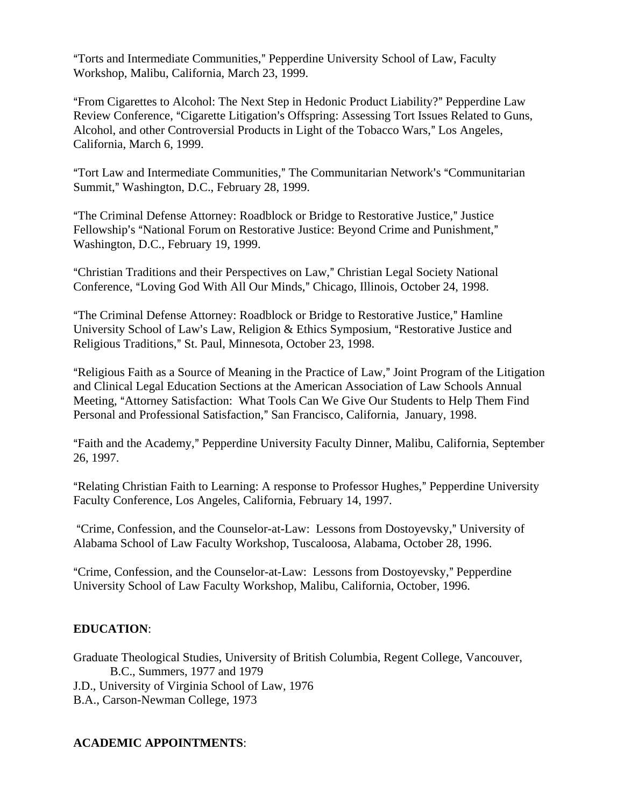"Torts and Intermediate Communities," Pepperdine University School of Law, Faculty Workshop, Malibu, California, March 23, 1999.

"From Cigarettes to Alcohol: The Next Step in Hedonic Product Liability?" Pepperdine Law Review Conference, "Cigarette Litigation's Offspring: Assessing Tort Issues Related to Guns, Alcohol, and other Controversial Products in Light of the Tobacco Wars," Los Angeles, California, March 6, 1999.

"Tort Law and Intermediate Communities," The Communitarian Network's "Communitarian Summit," Washington, D.C., February 28, 1999.

"The Criminal Defense Attorney: Roadblock or Bridge to Restorative Justice," Justice Fellowship's "National Forum on Restorative Justice: Beyond Crime and Punishment," Washington, D.C., February 19, 1999.

"Christian Traditions and their Perspectives on Law," Christian Legal Society National Conference, "Loving God With All Our Minds," Chicago, Illinois, October 24, 1998.

"The Criminal Defense Attorney: Roadblock or Bridge to Restorative Justice," Hamline University School of Law's Law, Religion & Ethics Symposium, "Restorative Justice and Religious Traditions," St. Paul, Minnesota, October 23, 1998.

"Religious Faith as a Source of Meaning in the Practice of Law," Joint Program of the Litigation and Clinical Legal Education Sections at the American Association of Law Schools Annual Meeting, "Attorney Satisfaction: What Tools Can We Give Our Students to Help Them Find Personal and Professional Satisfaction," San Francisco, California, January, 1998.

"Faith and the Academy," Pepperdine University Faculty Dinner, Malibu, California, September 26, 1997.

"Relating Christian Faith to Learning: A response to Professor Hughes," Pepperdine University Faculty Conference, Los Angeles, California, February 14, 1997.

"Crime, Confession, and the Counselor-at-Law: Lessons from Dostoyevsky," University of Alabama School of Law Faculty Workshop, Tuscaloosa, Alabama, October 28, 1996.

"Crime, Confession, and the Counselor-at-Law: Lessons from Dostoyevsky," Pepperdine University School of Law Faculty Workshop, Malibu, California, October, 1996.

# **EDUCATION**:

Graduate Theological Studies, University of British Columbia, Regent College, Vancouver, B.C., Summers, 1977 and 1979 J.D., University of Virginia School of Law, 1976 B.A., Carson-Newman College, 1973

### **ACADEMIC APPOINTMENTS**: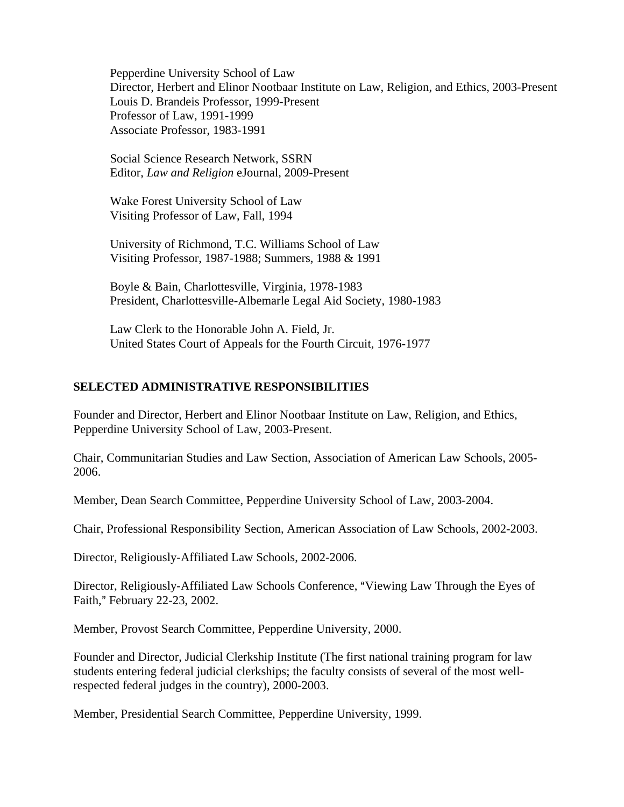Pepperdine University School of Law Director, Herbert and Elinor Nootbaar Institute on Law, Religion, and Ethics, 2003-Present Louis D. Brandeis Professor, 1999-Present Professor of Law, 1991-1999 Associate Professor, 1983-1991

Social Science Research Network, SSRN Editor, *Law and Religion* eJournal, 2009-Present

Wake Forest University School of Law Visiting Professor of Law, Fall, 1994

University of Richmond, T.C. Williams School of Law Visiting Professor, 1987-1988; Summers, 1988 & 1991

Boyle & Bain, Charlottesville, Virginia, 1978-1983 President, Charlottesville-Albemarle Legal Aid Society, 1980-1983

Law Clerk to the Honorable John A. Field, Jr. United States Court of Appeals for the Fourth Circuit, 1976-1977

## **SELECTED ADMINISTRATIVE RESPONSIBILITIES**

Founder and Director, Herbert and Elinor Nootbaar Institute on Law, Religion, and Ethics, Pepperdine University School of Law, 2003-Present.

Chair, Communitarian Studies and Law Section, Association of American Law Schools, 2005- 2006.

Member, Dean Search Committee, Pepperdine University School of Law, 2003-2004.

Chair, Professional Responsibility Section, American Association of Law Schools, 2002-2003.

Director, Religiously-Affiliated Law Schools, 2002-2006.

Director, Religiously-Affiliated Law Schools Conference, "Viewing Law Through the Eyes of Faith," February 22-23, 2002.

Member, Provost Search Committee, Pepperdine University, 2000.

Founder and Director, Judicial Clerkship Institute (The first national training program for law students entering federal judicial clerkships; the faculty consists of several of the most wellrespected federal judges in the country), 2000-2003.

Member, Presidential Search Committee, Pepperdine University, 1999.